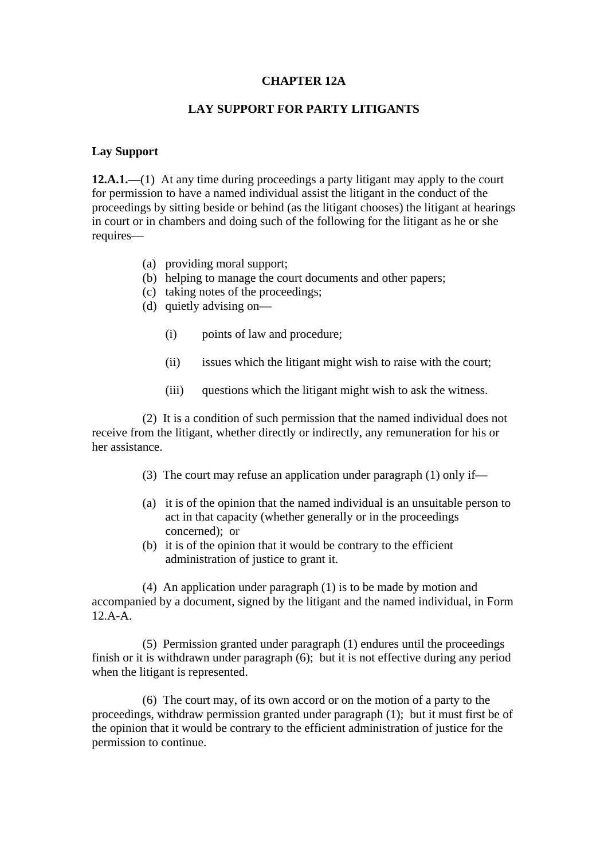## **CHAPTER 12A**

## **LAY SUPPORT FOR PARTY LITIGANTS**

## **Lay Support**

**12.A.1.—**(1) At any time during proceedings a party litigant may apply to the court for permission to have a named individual assist the litigant in the conduct of the proceedings by sitting beside or behind (as the litigant chooses) the litigant at hearings in court or in chambers and doing such of the following for the litigant as he or she requires—

- (a) providing moral support;
- (b) helping to manage the court documents and other papers;
- (c) taking notes of the proceedings;
- (d) quietly advising on—
	- (i) points of law and procedure;
	- (ii) issues which the litigant might wish to raise with the court;
	- (iii) questions which the litigant might wish to ask the witness.

(2) It is a condition of such permission that the named individual does not receive from the litigant, whether directly or indirectly, any remuneration for his or her assistance.

- (3) The court may refuse an application under paragraph (1) only if—
- (a) it is of the opinion that the named individual is an unsuitable person to act in that capacity (whether generally or in the proceedings concerned); or
- (b) it is of the opinion that it would be contrary to the efficient administration of justice to grant it.

(4) An application under paragraph (1) is to be made by motion and accompanied by a document, signed by the litigant and the named individual, in Form 12.A-A.

(5) Permission granted under paragraph (1) endures until the proceedings finish or it is withdrawn under paragraph (6); but it is not effective during any period when the litigant is represented.

(6) The court may, of its own accord or on the motion of a party to the proceedings, withdraw permission granted under paragraph (1); but it must first be of the opinion that it would be contrary to the efficient administration of justice for the permission to continue.